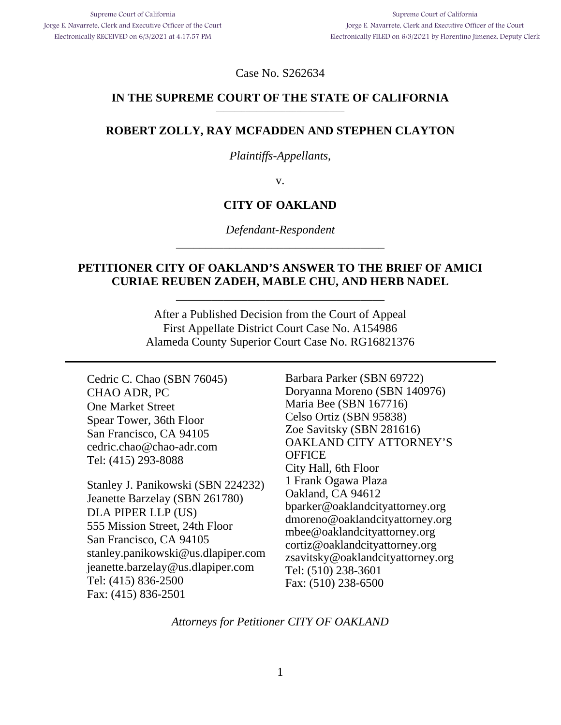Case No. S262634

#### **IN THE SUPREME COURT OF THE STATE OF CALIFORNIA**  \_\_\_\_\_\_\_\_\_\_\_\_\_\_\_\_\_\_\_\_\_\_\_\_\_\_\_\_\_\_\_\_\_\_\_

## **ROBERT ZOLLY, RAY MCFADDEN AND STEPHEN CLAYTON**

#### *Plaintiffs-Appellants*,

v.

# **CITY OF OAKLAND**

*Defendant-Respondent*  \_\_\_\_\_\_\_\_\_\_\_\_\_\_\_\_\_\_\_\_\_\_\_\_\_\_\_\_\_\_\_\_\_\_\_

## **PETITIONER CITY OF OAKLAND'S ANSWER TO THE BRIEF OF AMICI CURIAE REUBEN ZADEH, MABLE CHU, AND HERB NADEL**

\_\_\_\_\_\_\_\_\_\_\_\_\_\_\_\_\_\_\_\_\_\_\_\_\_\_\_\_\_\_\_\_\_\_\_

After a Published Decision from the Court of Appeal First Appellate District Court Case No. A154986 Alameda County Superior Court Case No. RG16821376

Cedric C. Chao (SBN 76045) CHAO ADR, PC One Market Street Spear Tower, 36th Floor San Francisco, CA 94105 cedric.chao@chao-adr.com Tel: (415) 293-8088

Stanley J. Panikowski (SBN 224232) Jeanette Barzelay (SBN 261780) DLA PIPER LLP (US) 555 Mission Street, 24th Floor San Francisco, CA 94105 stanley.panikowski@us.dlapiper.com jeanette.barzelay@us.dlapiper.com Tel: (415) 836-2500 Fax: (415) 836-2501

Barbara Parker (SBN 69722) Doryanna Moreno (SBN 140976) Maria Bee (SBN 167716) Celso Ortiz (SBN 95838) Zoe Savitsky (SBN 281616) OAKLAND CITY ATTORNEY'S **OFFICE** City Hall, 6th Floor 1 Frank Ogawa Plaza Oakland, CA 94612 bparker@oaklandcityattorney.org dmoreno@oaklandcityattorney.org mbee@oaklandcityattorney.org cortiz@oaklandcityattorney.org zsavitsky@oaklandcityattorney.org Tel: (510) 238-3601 Fax: (510) 238-6500

*Attorneys for Petitioner CITY OF OAKLAND*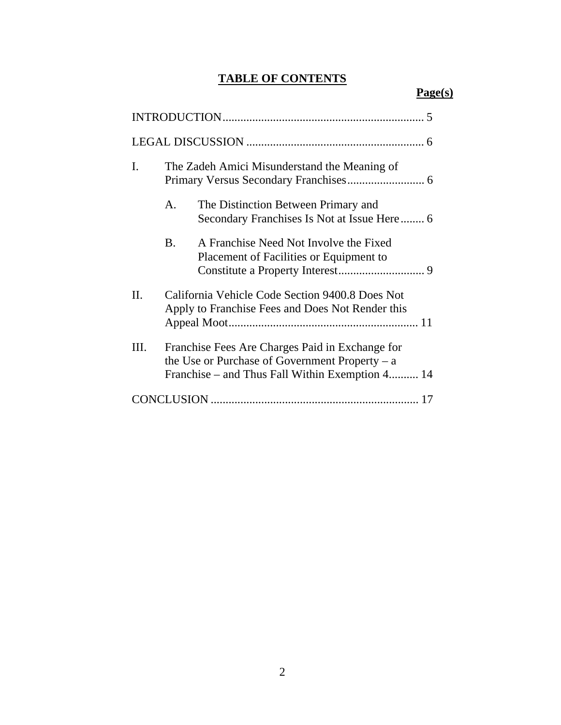# **TABLE OF CONTENTS**

# **Page(s)**

| $\overline{\mathbf{5}}$ |                                                                                                                                                        |                                                                                    |  |  |  |
|-------------------------|--------------------------------------------------------------------------------------------------------------------------------------------------------|------------------------------------------------------------------------------------|--|--|--|
|                         |                                                                                                                                                        |                                                                                    |  |  |  |
| Ι.                      | The Zadeh Amici Misunderstand the Meaning of                                                                                                           |                                                                                    |  |  |  |
|                         | $\mathbf{A}_{\cdot}$                                                                                                                                   | The Distinction Between Primary and<br>Secondary Franchises Is Not at Issue Here 6 |  |  |  |
|                         | <b>B.</b>                                                                                                                                              | A Franchise Need Not Involve the Fixed<br>Placement of Facilities or Equipment to  |  |  |  |
| H.                      | California Vehicle Code Section 9400.8 Does Not<br>Apply to Franchise Fees and Does Not Render this                                                    |                                                                                    |  |  |  |
| Ш.                      | Franchise Fees Are Charges Paid in Exchange for<br>the Use or Purchase of Government Property $- a$<br>Franchise – and Thus Fall Within Exemption 4 14 |                                                                                    |  |  |  |
|                         |                                                                                                                                                        |                                                                                    |  |  |  |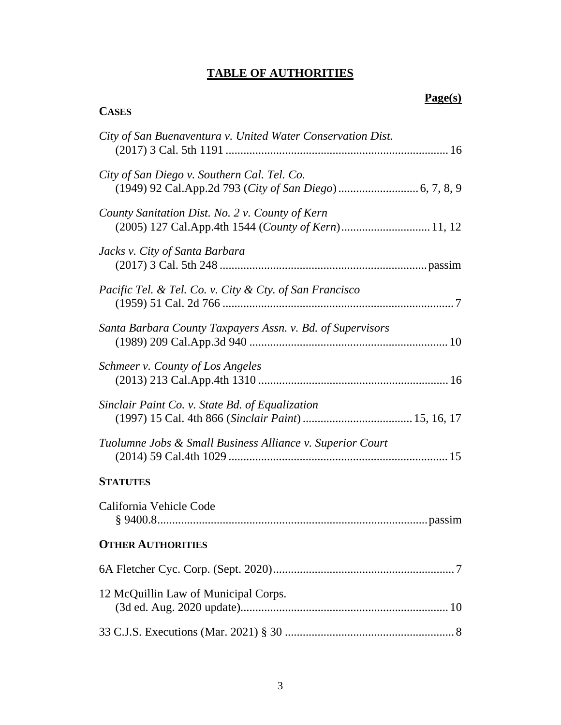# **TABLE OF AUTHORITIES**

**CASES**

# **Page(s)**

| City of San Buenaventura v. United Water Conservation Dist. |
|-------------------------------------------------------------|
| City of San Diego v. Southern Cal. Tel. Co.                 |
| County Sanitation Dist. No. 2 v. County of Kern             |
| Jacks v. City of Santa Barbara                              |
| Pacific Tel. & Tel. Co. v. City & Cty. of San Francisco     |
| Santa Barbara County Taxpayers Assn. v. Bd. of Supervisors  |
| Schmeer v. County of Los Angeles                            |
| Sinclair Paint Co. v. State Bd. of Equalization             |
| Tuolumne Jobs & Small Business Alliance v. Superior Court   |
| <b>STATUTES</b>                                             |
| California Vehicle Code                                     |
| <b>OTHER AUTHORITIES</b>                                    |
|                                                             |
| 12 McQuillin Law of Municipal Corps.                        |
|                                                             |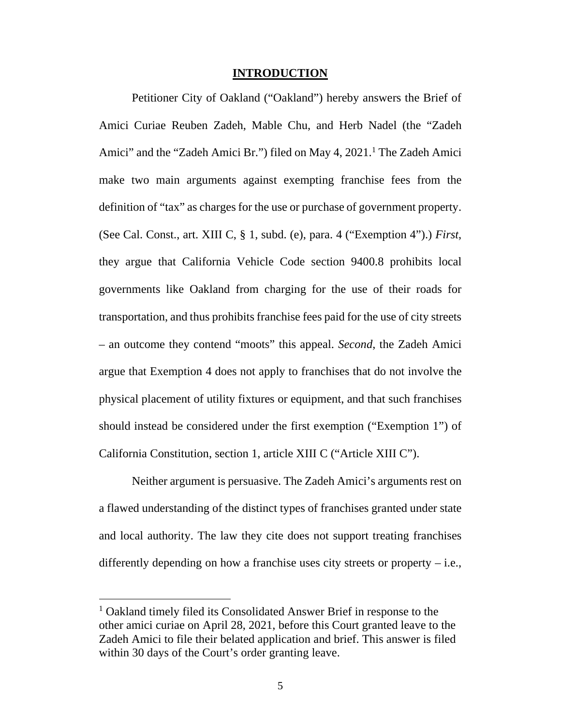#### **INTRODUCTION**

Petitioner City of Oakland ("Oakland") hereby answers the Brief of Amici Curiae Reuben Zadeh, Mable Chu, and Herb Nadel (the "Zadeh Amici" and the "Zadeh Amici Br.") filed on May 4, 2021.<sup>1</sup> The Zadeh Amici make two main arguments against exempting franchise fees from the definition of "tax" as charges for the use or purchase of government property. (See Cal. Const., art. XIII C, § 1, subd. (e), para. 4 ("Exemption 4").) *First*, they argue that California Vehicle Code section 9400.8 prohibits local governments like Oakland from charging for the use of their roads for transportation, and thus prohibits franchise fees paid for the use of city streets – an outcome they contend "moots" this appeal. *Second*, the Zadeh Amici argue that Exemption 4 does not apply to franchises that do not involve the physical placement of utility fixtures or equipment, and that such franchises should instead be considered under the first exemption ("Exemption 1") of California Constitution, section 1, article XIII C ("Article XIII C").

Neither argument is persuasive. The Zadeh Amici's arguments rest on a flawed understanding of the distinct types of franchises granted under state and local authority. The law they cite does not support treating franchises differently depending on how a franchise uses city streets or property  $-$  i.e.,

<sup>&</sup>lt;sup>1</sup> Oakland timely filed its Consolidated Answer Brief in response to the other amici curiae on April 28, 2021, before this Court granted leave to the Zadeh Amici to file their belated application and brief. This answer is filed within 30 days of the Court's order granting leave.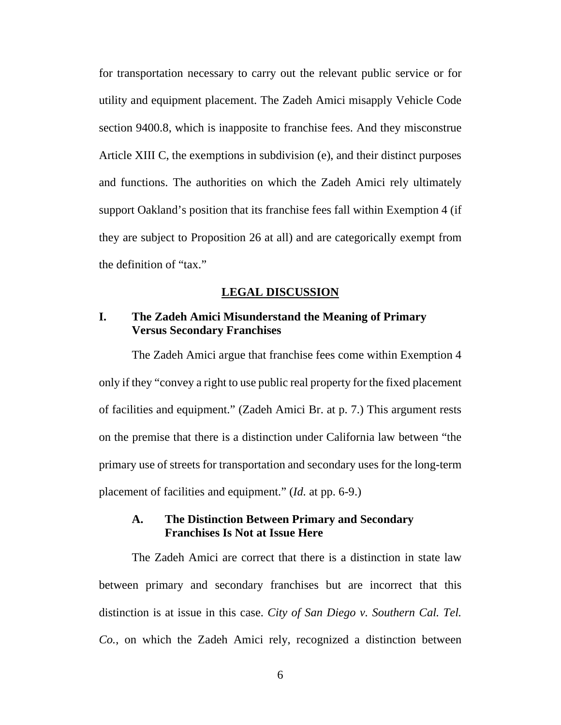for transportation necessary to carry out the relevant public service or for utility and equipment placement. The Zadeh Amici misapply Vehicle Code section 9400.8, which is inapposite to franchise fees. And they misconstrue Article XIII C, the exemptions in subdivision (e), and their distinct purposes and functions. The authorities on which the Zadeh Amici rely ultimately support Oakland's position that its franchise fees fall within Exemption 4 (if they are subject to Proposition 26 at all) and are categorically exempt from the definition of "tax."

#### **LEGAL DISCUSSION**

## **I. The Zadeh Amici Misunderstand the Meaning of Primary Versus Secondary Franchises**

The Zadeh Amici argue that franchise fees come within Exemption 4 only if they "convey a right to use public real property for the fixed placement of facilities and equipment." (Zadeh Amici Br. at p. 7.) This argument rests on the premise that there is a distinction under California law between "the primary use of streets for transportation and secondary uses for the long-term placement of facilities and equipment." (*Id.* at pp. 6-9.)

## **A. The Distinction Between Primary and Secondary Franchises Is Not at Issue Here**

The Zadeh Amici are correct that there is a distinction in state law between primary and secondary franchises but are incorrect that this distinction is at issue in this case. *City of San Diego v. Southern Cal. Tel. Co.*, on which the Zadeh Amici rely, recognized a distinction between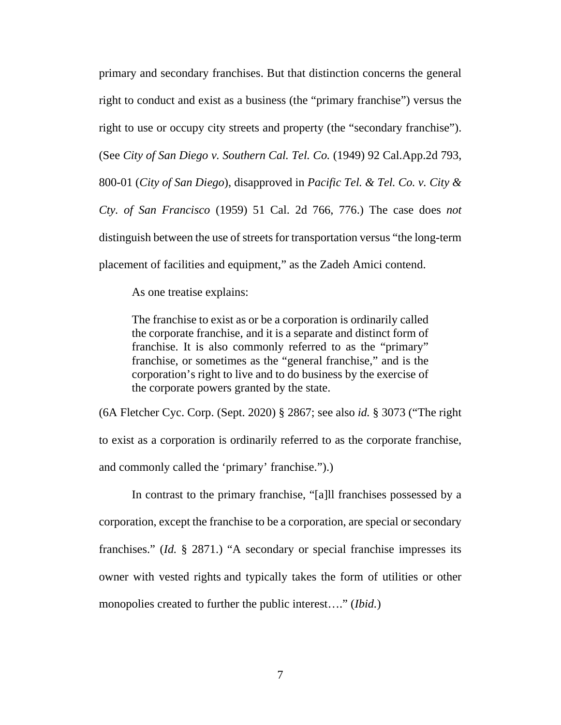primary and secondary franchises. But that distinction concerns the general right to conduct and exist as a business (the "primary franchise") versus the right to use or occupy city streets and property (the "secondary franchise"). (See *City of San Diego v. Southern Cal. Tel. Co.* (1949) 92 Cal.App.2d 793, 800-01 (*City of San Diego*), disapproved in *Pacific Tel. & Tel. Co. v. City & Cty. of San Francisco* (1959) 51 Cal. 2d 766, 776.) The case does *not* distinguish between the use of streets for transportation versus "the long-term placement of facilities and equipment," as the Zadeh Amici contend.

As one treatise explains:

The franchise to exist as or be a corporation is ordinarily called the corporate franchise, and it is a separate and distinct form of franchise. It is also commonly referred to as the "primary" franchise, or sometimes as the "general franchise," and is the corporation's right to live and to do business by the exercise of the corporate powers granted by the state.

(6A Fletcher Cyc. Corp. (Sept. 2020) § 2867; see also *id.* § 3073 ("The right to exist as a corporation is ordinarily referred to as the corporate franchise, and commonly called the 'primary' franchise.").)

In contrast to the primary franchise, "[a]ll franchises possessed by a corporation, except the franchise to be a corporation, are special or secondary franchises." (*Id.* § 2871.) "A secondary or special franchise impresses its owner with vested rights and typically takes the form of utilities or other monopolies created to further the public interest…." (*Ibid.*)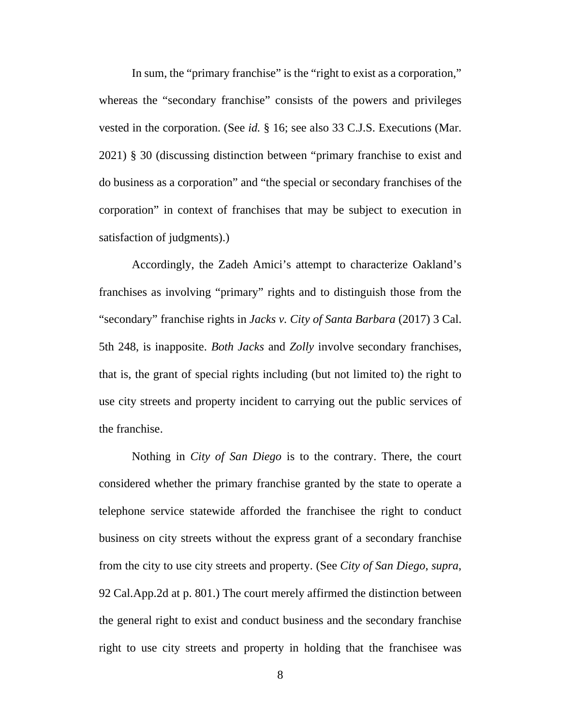In sum, the "primary franchise" is the "right to exist as a corporation," whereas the "secondary franchise" consists of the powers and privileges vested in the corporation. (See *id.* § 16; see also 33 C.J.S. Executions (Mar. 2021) § 30 (discussing distinction between "primary franchise to exist and do business as a corporation" and "the special or secondary franchises of the corporation" in context of franchises that may be subject to execution in satisfaction of judgments).)

Accordingly, the Zadeh Amici's attempt to characterize Oakland's franchises as involving "primary" rights and to distinguish those from the "secondary" franchise rights in *Jacks v. City of Santa Barbara* (2017) 3 Cal. 5th 248, is inapposite. *Both Jacks* and *Zolly* involve secondary franchises, that is, the grant of special rights including (but not limited to) the right to use city streets and property incident to carrying out the public services of the franchise.

Nothing in *City of San Diego* is to the contrary. There, the court considered whether the primary franchise granted by the state to operate a telephone service statewide afforded the franchisee the right to conduct business on city streets without the express grant of a secondary franchise from the city to use city streets and property. (See *City of San Diego*, *supra*, 92 Cal.App.2d at p. 801.) The court merely affirmed the distinction between the general right to exist and conduct business and the secondary franchise right to use city streets and property in holding that the franchisee was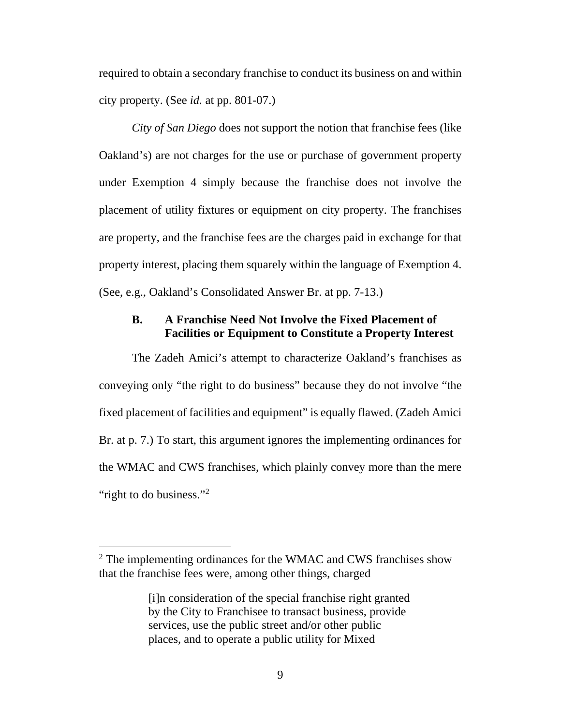required to obtain a secondary franchise to conduct its business on and within city property. (See *id.* at pp. 801-07.)

*City of San Diego* does not support the notion that franchise fees (like Oakland's) are not charges for the use or purchase of government property under Exemption 4 simply because the franchise does not involve the placement of utility fixtures or equipment on city property. The franchises are property, and the franchise fees are the charges paid in exchange for that property interest, placing them squarely within the language of Exemption 4. (See, e.g., Oakland's Consolidated Answer Br. at pp. 7-13.)

# **B. A Franchise Need Not Involve the Fixed Placement of Facilities or Equipment to Constitute a Property Interest**

The Zadeh Amici's attempt to characterize Oakland's franchises as conveying only "the right to do business" because they do not involve "the fixed placement of facilities and equipment" is equally flawed. (Zadeh Amici Br. at p. 7.) To start, this argument ignores the implementing ordinances for the WMAC and CWS franchises, which plainly convey more than the mere "right to do business."<sup>2</sup>

 $2$  The implementing ordinances for the WMAC and CWS franchises show that the franchise fees were, among other things, charged

<sup>[</sup>i]n consideration of the special franchise right granted by the City to Franchisee to transact business, provide services, use the public street and/or other public places, and to operate a public utility for Mixed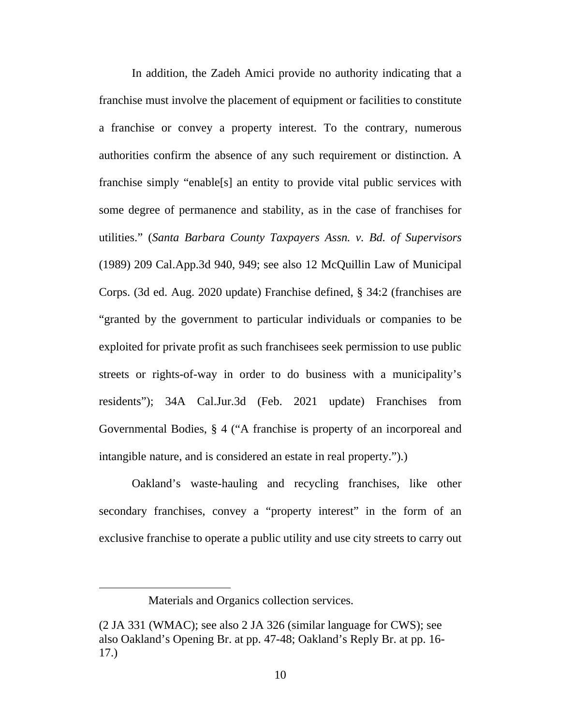In addition, the Zadeh Amici provide no authority indicating that a franchise must involve the placement of equipment or facilities to constitute a franchise or convey a property interest. To the contrary, numerous authorities confirm the absence of any such requirement or distinction. A franchise simply "enable[s] an entity to provide vital public services with some degree of permanence and stability, as in the case of franchises for utilities." (*Santa Barbara County Taxpayers Assn. v. Bd. of Supervisors* (1989) 209 Cal.App.3d 940, 949; see also 12 McQuillin Law of Municipal Corps. (3d ed. Aug. 2020 update) Franchise defined, § 34:2 (franchises are "granted by the government to particular individuals or companies to be exploited for private profit as such franchisees seek permission to use public streets or rights-of-way in order to do business with a municipality's residents"); 34A Cal.Jur.3d (Feb. 2021 update) Franchises from Governmental Bodies, § 4 ("A franchise is property of an incorporeal and intangible nature, and is considered an estate in real property.").)

Oakland's waste-hauling and recycling franchises, like other secondary franchises, convey a "property interest" in the form of an exclusive franchise to operate a public utility and use city streets to carry out

Materials and Organics collection services.

<sup>(2</sup> JA 331 (WMAC); see also 2 JA 326 (similar language for CWS); see also Oakland's Opening Br. at pp. 47-48; Oakland's Reply Br. at pp. 16- 17.)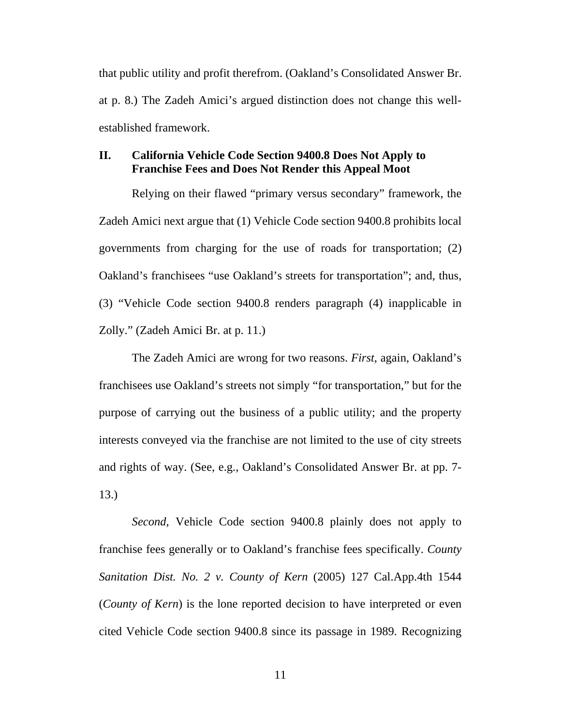that public utility and profit therefrom. (Oakland's Consolidated Answer Br. at p. 8.) The Zadeh Amici's argued distinction does not change this wellestablished framework.

### **II. California Vehicle Code Section 9400.8 Does Not Apply to Franchise Fees and Does Not Render this Appeal Moot**

Relying on their flawed "primary versus secondary" framework, the Zadeh Amici next argue that (1) Vehicle Code section 9400.8 prohibits local governments from charging for the use of roads for transportation; (2) Oakland's franchisees "use Oakland's streets for transportation"; and, thus, (3) "Vehicle Code section 9400.8 renders paragraph (4) inapplicable in Zolly." (Zadeh Amici Br. at p. 11.)

The Zadeh Amici are wrong for two reasons. *First*, again, Oakland's franchisees use Oakland's streets not simply "for transportation," but for the purpose of carrying out the business of a public utility; and the property interests conveyed via the franchise are not limited to the use of city streets and rights of way. (See, e.g., Oakland's Consolidated Answer Br. at pp. 7- 13.)

*Second*, Vehicle Code section 9400.8 plainly does not apply to franchise fees generally or to Oakland's franchise fees specifically. *County Sanitation Dist. No. 2 v. County of Kern* (2005) 127 Cal.App.4th 1544 (*County of Kern*) is the lone reported decision to have interpreted or even cited Vehicle Code section 9400.8 since its passage in 1989. Recognizing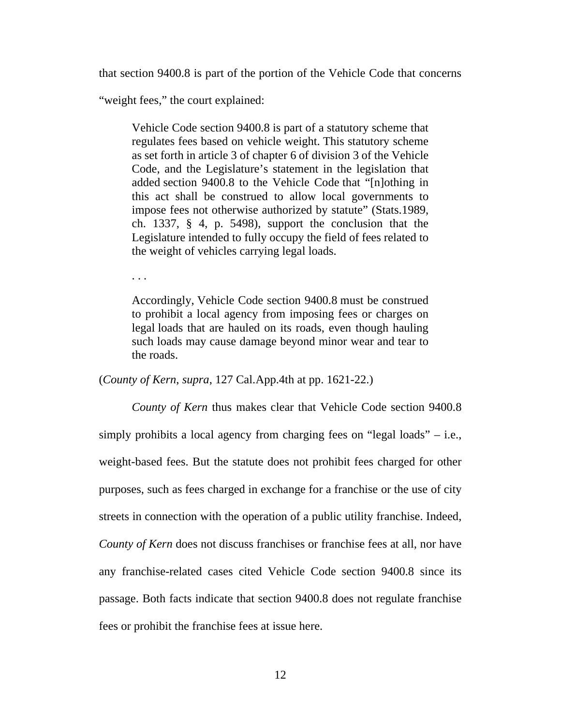that section 9400.8 is part of the portion of the Vehicle Code that concerns

"weight fees," the court explained:

. . .

Vehicle Code section 9400.8 is part of a statutory scheme that regulates fees based on vehicle weight. This statutory scheme as set forth in article 3 of chapter 6 of division 3 of the Vehicle Code, and the Legislature's statement in the legislation that added section 9400.8 to the Vehicle Code that "[n]othing in this act shall be construed to allow local governments to impose fees not otherwise authorized by statute" (Stats.1989, ch. 1337, § 4, p. 5498), support the conclusion that the Legislature intended to fully occupy the field of fees related to the weight of vehicles carrying legal loads.

Accordingly, Vehicle Code section 9400.8 must be construed to prohibit a local agency from imposing fees or charges on legal loads that are hauled on its roads, even though hauling such loads may cause damage beyond minor wear and tear to the roads.

(*County of Kern*, *supra*, 127 Cal.App.4th at pp. 1621-22.)

*County of Kern* thus makes clear that Vehicle Code section 9400.8 simply prohibits a local agency from charging fees on "legal loads" – i.e., weight-based fees. But the statute does not prohibit fees charged for other purposes, such as fees charged in exchange for a franchise or the use of city streets in connection with the operation of a public utility franchise. Indeed, *County of Kern* does not discuss franchises or franchise fees at all, nor have any franchise-related cases cited Vehicle Code section 9400.8 since its passage. Both facts indicate that section 9400.8 does not regulate franchise fees or prohibit the franchise fees at issue here.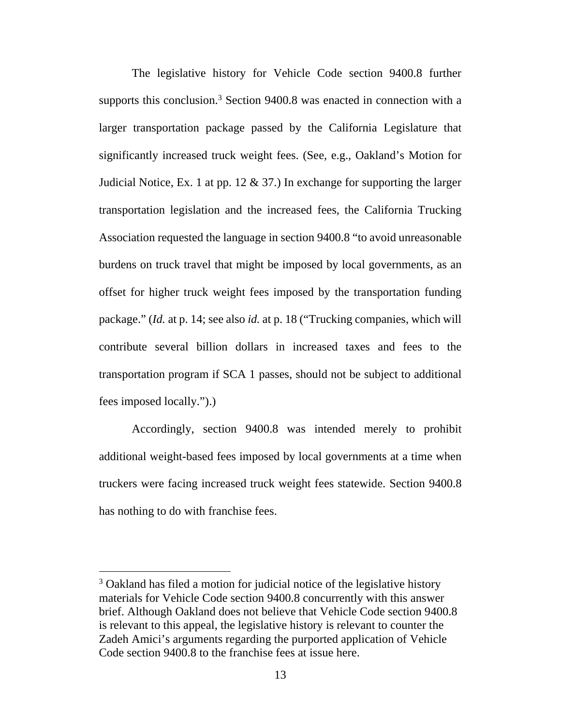The legislative history for Vehicle Code section 9400.8 further supports this conclusion.<sup>3</sup> Section 9400.8 was enacted in connection with a larger transportation package passed by the California Legislature that significantly increased truck weight fees. (See, e.g., Oakland's Motion for Judicial Notice, Ex. 1 at pp. 12  $\&$  37.) In exchange for supporting the larger transportation legislation and the increased fees, the California Trucking Association requested the language in section 9400.8 "to avoid unreasonable burdens on truck travel that might be imposed by local governments, as an offset for higher truck weight fees imposed by the transportation funding package." (*Id.* at p. 14; see also *id.* at p. 18 ("Trucking companies, which will contribute several billion dollars in increased taxes and fees to the transportation program if SCA 1 passes, should not be subject to additional fees imposed locally.").)

Accordingly, section 9400.8 was intended merely to prohibit additional weight-based fees imposed by local governments at a time when truckers were facing increased truck weight fees statewide. Section 9400.8 has nothing to do with franchise fees.

<sup>&</sup>lt;sup>3</sup> Oakland has filed a motion for judicial notice of the legislative history materials for Vehicle Code section 9400.8 concurrently with this answer brief. Although Oakland does not believe that Vehicle Code section 9400.8 is relevant to this appeal, the legislative history is relevant to counter the Zadeh Amici's arguments regarding the purported application of Vehicle Code section 9400.8 to the franchise fees at issue here.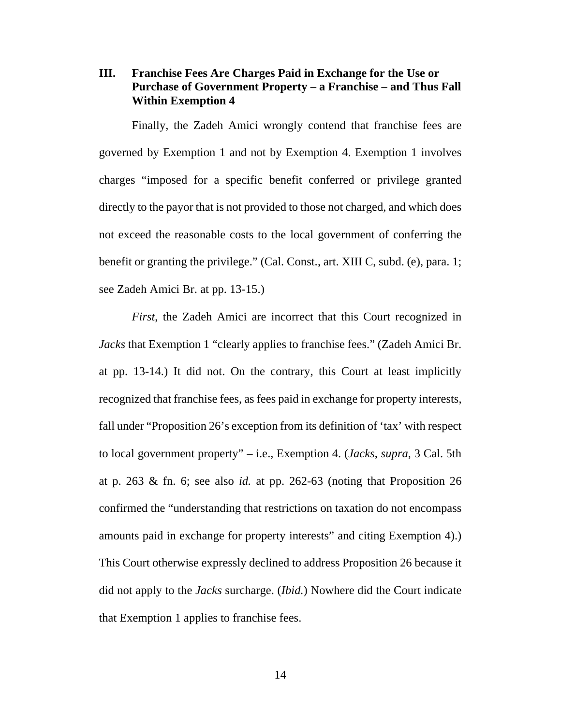# **III. Franchise Fees Are Charges Paid in Exchange for the Use or Purchase of Government Property – a Franchise – and Thus Fall Within Exemption 4**

Finally, the Zadeh Amici wrongly contend that franchise fees are governed by Exemption 1 and not by Exemption 4. Exemption 1 involves charges "imposed for a specific benefit conferred or privilege granted directly to the payor that is not provided to those not charged, and which does not exceed the reasonable costs to the local government of conferring the benefit or granting the privilege." (Cal. Const., art. XIII C, subd. (e), para. 1; see Zadeh Amici Br. at pp. 13-15.)

*First*, the Zadeh Amici are incorrect that this Court recognized in *Jacks* that Exemption 1 "clearly applies to franchise fees." (Zadeh Amici Br. at pp. 13-14.) It did not. On the contrary, this Court at least implicitly recognized that franchise fees, as fees paid in exchange for property interests, fall under "Proposition 26's exception from its definition of 'tax' with respect to local government property" – i.e., Exemption 4. (*Jacks*, *supra*, 3 Cal. 5th at p. 263 & fn. 6; see also *id.* at pp. 262-63 (noting that Proposition 26 confirmed the "understanding that restrictions on taxation do not encompass amounts paid in exchange for property interests" and citing Exemption 4).) This Court otherwise expressly declined to address Proposition 26 because it did not apply to the *Jacks* surcharge. (*Ibid.*) Nowhere did the Court indicate that Exemption 1 applies to franchise fees.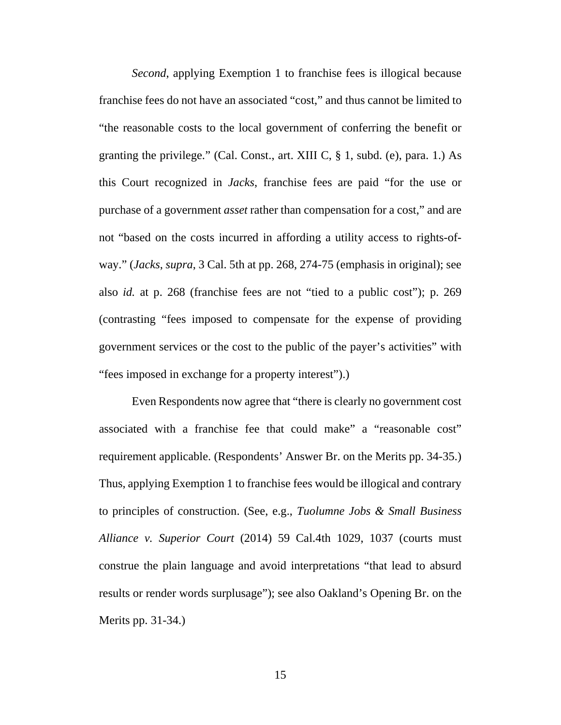*Second*, applying Exemption 1 to franchise fees is illogical because franchise fees do not have an associated "cost," and thus cannot be limited to "the reasonable costs to the local government of conferring the benefit or granting the privilege." (Cal. Const., art. XIII C,  $\S$  1, subd. (e), para. 1.) As this Court recognized in *Jacks*, franchise fees are paid "for the use or purchase of a government *asset* rather than compensation for a cost," and are not "based on the costs incurred in affording a utility access to rights-ofway." (*Jacks*, *supra*, 3 Cal. 5th at pp. 268, 274-75 (emphasis in original); see also *id.* at p. 268 (franchise fees are not "tied to a public cost"); p. 269 (contrasting "fees imposed to compensate for the expense of providing government services or the cost to the public of the payer's activities" with "fees imposed in exchange for a property interest").)

Even Respondents now agree that "there is clearly no government cost associated with a franchise fee that could make" a "reasonable cost" requirement applicable. (Respondents' Answer Br. on the Merits pp. 34-35.) Thus, applying Exemption 1 to franchise fees would be illogical and contrary to principles of construction. (See, e.g., *Tuolumne Jobs & Small Business Alliance v. Superior Court* (2014) 59 Cal.4th 1029, 1037 (courts must construe the plain language and avoid interpretations "that lead to absurd results or render words surplusage"); see also Oakland's Opening Br. on the Merits pp. 31-34.)

15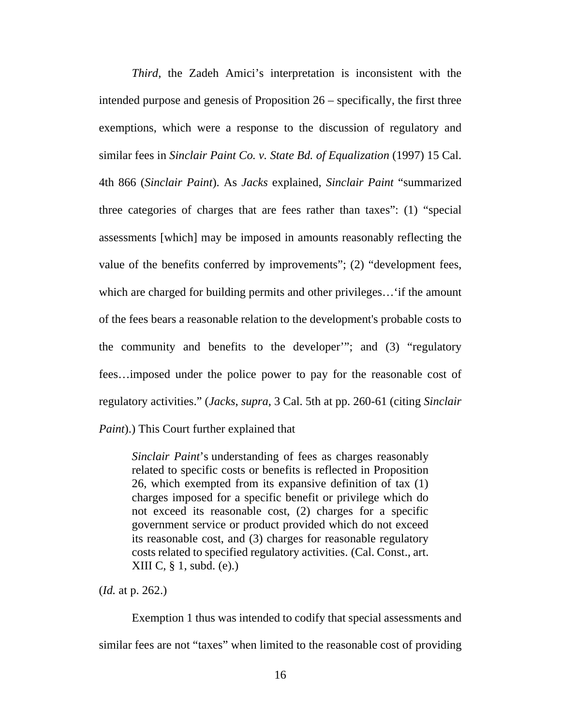*Third*, the Zadeh Amici's interpretation is inconsistent with the intended purpose and genesis of Proposition 26 – specifically, the first three exemptions, which were a response to the discussion of regulatory and similar fees in *Sinclair Paint Co. v. State Bd. of Equalization* (1997) 15 Cal. 4th 866 (*Sinclair Paint*). As *Jacks* explained, *Sinclair Paint* "summarized three categories of charges that are fees rather than taxes": (1) "special assessments [which] may be imposed in amounts reasonably reflecting the value of the benefits conferred by improvements"; (2) "development fees, which are charged for building permits and other privileges... 'if the amount of the fees bears a reasonable relation to the development's probable costs to the community and benefits to the developer'"; and (3) "regulatory fees…imposed under the police power to pay for the reasonable cost of regulatory activities." (*Jacks*, *supra*, 3 Cal. 5th at pp. 260-61 (citing *Sinclair Paint*).) This Court further explained that

*Sinclair Paint*'s understanding of fees as charges reasonably related to specific costs or benefits is reflected in Proposition 26, which exempted from its expansive definition of tax (1) charges imposed for a specific benefit or privilege which do not exceed its reasonable cost, (2) charges for a specific government service or product provided which do not exceed its reasonable cost, and (3) charges for reasonable regulatory costs related to specified regulatory activities. (Cal. Const., art. XIII C, § 1, subd. (e).)

(*Id.* at p. 262.)

Exemption 1 thus was intended to codify that special assessments and similar fees are not "taxes" when limited to the reasonable cost of providing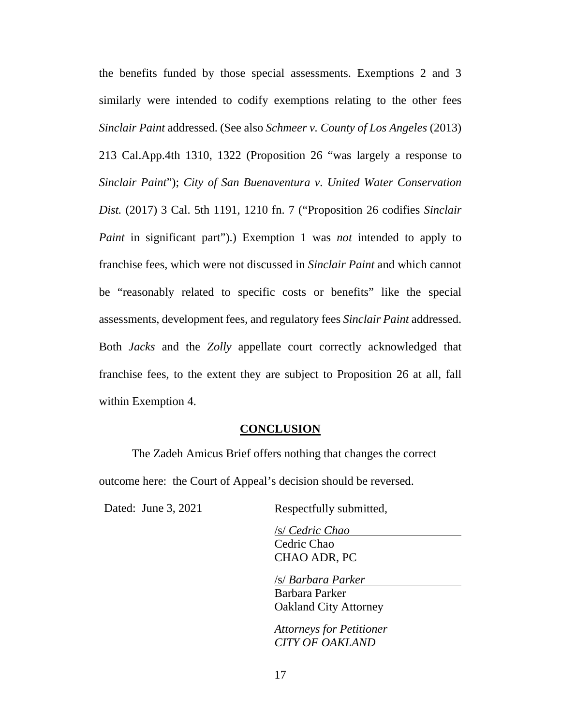the benefits funded by those special assessments. Exemptions 2 and 3 similarly were intended to codify exemptions relating to the other fees *Sinclair Paint* addressed. (See also *Schmeer v. County of Los Angeles* (2013) 213 Cal.App.4th 1310, 1322 (Proposition 26 "was largely a response to *Sinclair Paint*"); *City of San Buenaventura v. United Water Conservation Dist.* (2017) 3 Cal. 5th 1191, 1210 fn. 7 ("Proposition 26 codifies *Sinclair Paint* in significant part").) Exemption 1 was *not* intended to apply to franchise fees, which were not discussed in *Sinclair Paint* and which cannot be "reasonably related to specific costs or benefits" like the special assessments, development fees, and regulatory fees *Sinclair Paint* addressed. Both *Jacks* and the *Zolly* appellate court correctly acknowledged that franchise fees, to the extent they are subject to Proposition 26 at all, fall within Exemption 4.

#### **CONCLUSION**

The Zadeh Amicus Brief offers nothing that changes the correct outcome here: the Court of Appeal's decision should be reversed.

Dated: June 3, 2021 Respectfully submitted,

/s/ *Cedric Chao* Cedric Chao CHAO ADR, PC

/s/ *Barbara Parker*

Barbara Parker Oakland City Attorney

*Attorneys for Petitioner CITY OF OAKLAND*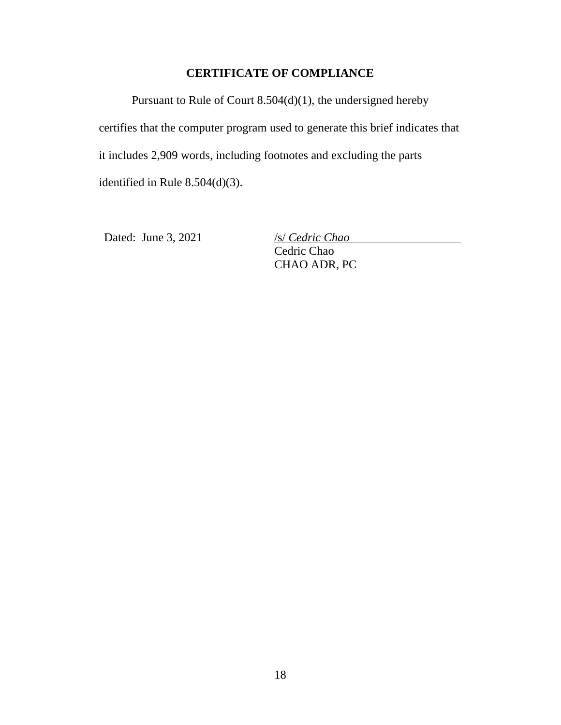# **CERTIFICATE OF COMPLIANCE**

Pursuant to Rule of Court 8.504(d)(1), the undersigned hereby certifies that the computer program used to generate this brief indicates that it includes 2,909 words, including footnotes and excluding the parts identified in Rule 8.504(d)(3).

Dated: June 3, 2021 /s/ *Cedric Chao* 

Cedric Chao CHAO ADR, PC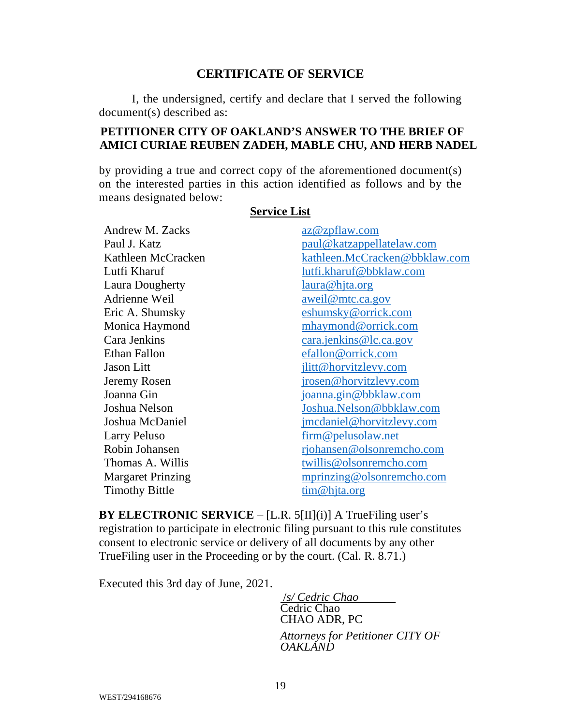# **CERTIFICATE OF SERVICE**

I, the undersigned, certify and declare that I served the following document(s) described as:

# **PETITIONER CITY OF OAKLAND'S ANSWER TO THE BRIEF OF AMICI CURIAE REUBEN ZADEH, MABLE CHU, AND HERB NADEL**

by providing a true and correct copy of the aforementioned document(s) on the interested parties in this action identified as follows and by the means designated below:

# **Service List**

Andrew M. Zacks az @zpflaw.com Lutfi Kharuf lutfi.kharuf@bbklaw.com Laura Dougherty laura@hjta.org Adrienne Weil aweil@mtc.ca.gov Eric A. Shumsky eshumsky@orrick.com Monica Haymond mhaymond @orrick.com Cara Jenkins cara.jenkins@lc.ca.gov Ethan Fallon efallon@orrick.com Jason Litt jlitt@horvitzlevy.com Jeremy Rosen irosen @horvitzlevy.com Joanna Gin joanna.gin@bbklaw.com Larry Peluso firm @ pelusolaw.net Thomas A. Willis twillis **@olsonremcho.com** 

Paul J. Katz paul@katzappellatelaw.com Kathleen McCracken kathleen.McCracken@bbklaw.com Joshua Nelson Joshua.Nelson@bbklaw.com Joshua McDaniel imcdaniel@horvitzlevy.com Robin Johansen richansen @olsonremcho.com Margaret Prinzing mprinzing @olsonremcho.com Timothy Bittle tim@hjta.org

**BY ELECTRONIC SERVICE** – [L.R. 5[II](i)] A TrueFiling user's registration to participate in electronic filing pursuant to this rule constitutes consent to electronic service or delivery of all documents by any other TrueFiling user in the Proceeding or by the court. (Cal. R. 8.71.)

Executed this 3rd day of June, 2021.

 /*s/ Cedric Chao*  Cedric Chao CHAO ADR, PC

*Attorneys for Petitioner CITY OF OAKLAND*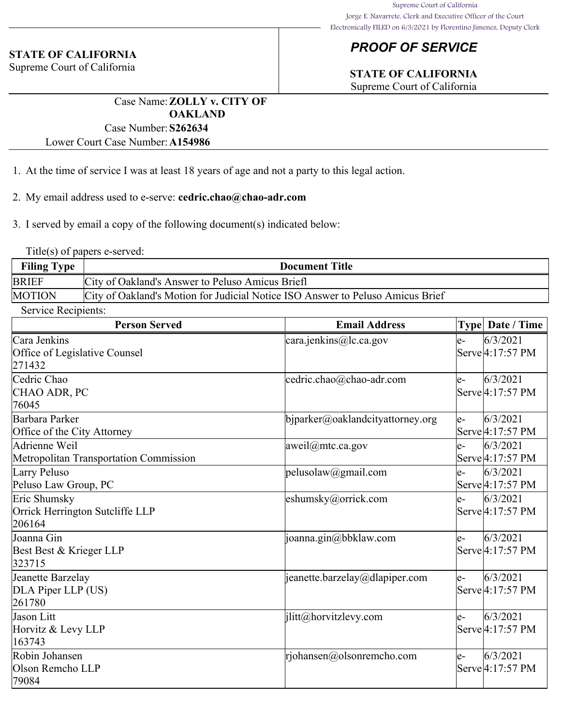# *PROOF OF SERVICE*

# **STATE OF CALIFORNIA**

Supreme Court of California

Case Name:**ZOLLY v. CITY OF OAKLAND** Case Number:**S262634**

Lower Court Case Number:**A154986**

- 1. At the time of service I was at least 18 years of age and not a party to this legal action.
- 2. My email address used to e-serve: **cedric.chao@chao-adr.com**
- 3. I served by email a copy of the following document(s) indicated below:

Title(s) of papers e-served:

**STATE OF CALIFORNIA** Supreme Court of California

| <b>Filing Type</b> | <b>Document Title</b>                                                          |
|--------------------|--------------------------------------------------------------------------------|
| <b>BRIEF</b>       | City of Oakland's Answer to Peluso Amicus Briefl                               |
| <b>MOTION</b>      | City of Oakland's Motion for Judicial Notice ISO Answer to Peluso Amicus Brief |

Service Recipients:

| <b>Person Served</b>                   | <b>Email Address</b>             |      | Type Date / Time              |
|----------------------------------------|----------------------------------|------|-------------------------------|
| lCara Jenkins                          | cara.jenkins@lc.ca.gov           | e-   | 6/3/2021                      |
| Office of Legislative Counsel          |                                  |      | Serve <sup>[4:17:57</sup> PM] |
| 271432                                 |                                  |      |                               |
| Cedric Chao                            | cedric.chao@chao-adr.com         | e-   | 6/3/2021                      |
| CHAO ADR, PC                           |                                  |      | Serve 4:17:57 PM              |
| 76045                                  |                                  |      |                               |
| Barbara Parker                         | bjparker@oaklandcityattorney.org | $e-$ | 6/3/2021                      |
| Office of the City Attorney            |                                  |      | Serve 4:17:57 PM              |
| Adrienne Weil                          | aweil@mtc.ca.gov                 | e-   | 6/3/2021                      |
| Metropolitan Transportation Commission |                                  |      | Serve 4:17:57 PM              |
| Larry Peluso                           | pelusolaw@gmail.com              | $e-$ | 6/3/2021                      |
| Peluso Law Group, PC                   |                                  |      | Serve 4:17:57 PM              |
| Eric Shumsky                           | eshumsky@orrick.com              | $e-$ | 6/3/2021                      |
| Orrick Herrington Sutcliffe LLP        |                                  |      | Serve 4:17:57 PM              |
| 206164                                 |                                  |      |                               |
| Joanna Gin                             | $\vert$ joanna.gin@bbklaw.com    | e-   | 6/3/2021                      |
| Best Best & Krieger LLP                |                                  |      | Serve <sup>[4:17:57</sup> PM] |
| 323715                                 |                                  |      |                               |
| Jeanette Barzelay                      | jeanette.barzelay@dlapiper.com   | e-   | 6/3/2021                      |
| DLA Piper LLP (US)                     |                                  |      | Serve 4:17:57 PM              |
| 261780                                 |                                  |      |                               |
| Jason Litt                             | jlitt@horvitzlevy.com            | le-  | 6/3/2021                      |
| Horvitz & Levy LLP                     |                                  |      | Serve <sup>[4:17:57</sup> PM  |
| 163743                                 |                                  |      |                               |
| Robin Johansen                         | rjohansen@olsonremcho.com        | $e-$ | 6/3/2021                      |
| Olson Remcho LLP                       |                                  |      | Serve 4:17:57 PM              |
| 79084                                  |                                  |      |                               |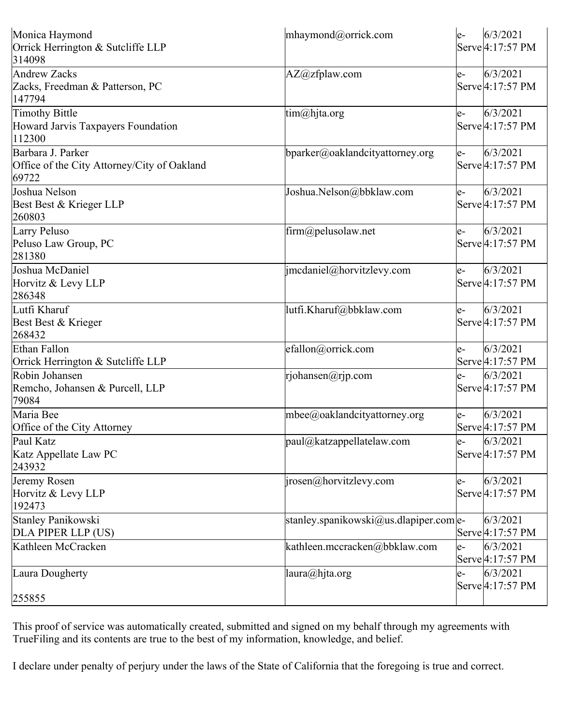| Monica Haymond<br>Orrick Herrington & Sutcliffe LLP        | mhaymond@orrick.com                      | le-   | 6/3/2021<br>Serve 4:17:57 PM  |
|------------------------------------------------------------|------------------------------------------|-------|-------------------------------|
| 314098                                                     |                                          |       |                               |
| Andrew Zacks                                               | AZ@zfplaw.com                            | $ e-$ | 6/3/2021                      |
| Zacks, Freedman & Patterson, PC<br>147794                  |                                          |       | Serve 4:17:57 PM              |
| Timothy Bittle                                             | tim@hjta.org                             | le-   | 6/3/2021                      |
| Howard Jarvis Taxpayers Foundation<br>112300               |                                          |       | Serve <sup>[4:17:57</sup> PM] |
| Barbara J. Parker                                          | bparker@oaklandcityattorney.org          | le-   | 6/3/2021                      |
| Office of the City Attorney/City of Oakland<br>69722       |                                          |       | Serve 4:17:57 PM              |
| Joshua Nelson                                              | Joshua.Nelson@bbklaw.com                 | le-   | 6/3/2021                      |
| Best Best & Krieger LLP<br>260803                          |                                          |       | Serve 4:17:57 PM              |
| Larry Peluso                                               | firm@pelusolaw.net                       | le-   | 6/3/2021                      |
| Peluso Law Group, PC<br>281380                             |                                          |       | Serve 4:17:57 PM              |
| Joshua McDaniel                                            | $ $ imcdaniel@horvitzlevy.com            | le-   | 6/3/2021                      |
| Horvitz & Levy LLP<br>286348                               |                                          |       | Serve 4:17:57 PM              |
| Lutfi Kharuf                                               | lutfi.Kharuf@bbklaw.com                  | le-   | 6/3/2021                      |
| Best Best & Krieger<br>268432                              |                                          |       | Serve 4:17:57 PM              |
| Ethan Fallon                                               | efallon@orrick.com                       | le-   | 6/3/2021                      |
| Orrick Herrington & Sutcliffe LLP                          |                                          |       | Serve 4:17:57 PM              |
| Robin Johansen<br>Remcho, Johansen & Purcell, LLP<br>79084 | rjohansen@rjp.com                        | le-   | 6/3/2021<br>Serve 4:17:57 PM  |
| Maria Bee                                                  | mbee@oaklandcityattorney.org             | le-   | 6/3/2021                      |
| Office of the City Attorney                                |                                          |       | Serve 4:17:57 PM              |
| Paul Katz<br>Katz Appellate Law PC                         | paul@katzappellatelaw.com                | le-   | 6/3/2021<br>Serve 4:17:57 PM  |
| 243932                                                     |                                          |       |                               |
| Jeremy Rosen<br>Horvitz & Levy LLP<br>192473               | $ i$ rosen@horvitzlevy.com               | le-   | 6/3/2021<br>Serve 4:17:57 PM  |
| Stanley Panikowski                                         | stanley.spanikowski@us.dlapiper.come-    |       | 6/3/2021                      |
| DLA PIPER LLP (US)                                         |                                          |       | Serve 4:17:57 PM              |
| Kathleen McCracken                                         | kathleen.mccracken@bbklaw.com            | le-   | 6/3/2021<br>Serve 4:17:57 PM  |
| Laura Dougherty                                            | $[{\text{laura}}(\hat{\omega})$ hjta.org | le-   | 6/3/2021<br>Serve 4:17:57 PM  |
| 255855                                                     |                                          |       |                               |

This proof of service was automatically created, submitted and signed on my behalf through my agreements with TrueFiling and its contents are true to the best of my information, knowledge, and belief.

I declare under penalty of perjury under the laws of the State of California that the foregoing is true and correct.